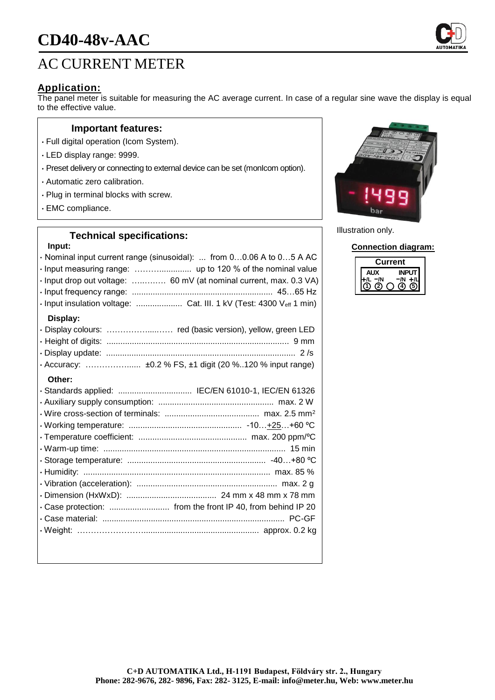

## **Application:**

The panel meter is suitable for measuring the AC average current. In case of a regular sine wave the display is equal to the effective value.

### **Important features:**

- Full digital operation (Icom System).
- LED display range: 9999.
- Preset delivery or connecting to external device can be set (monIcom option).
- Automatic zero calibration.
- Plug in terminal blocks with screw.
- EMC compliance.

## **Technical specifications:**

#### **Input:**

|          | · Nominal input current range (sinusoidal):  from 00.06 A to 05 A AC |
|----------|----------------------------------------------------------------------|
|          |                                                                      |
|          | · Input drop out voltage:  60 mV (at nominal current, max. 0.3 VA)   |
|          |                                                                      |
|          | · Input insulation voltage:  Cat. III. 1 kV (Test: 4300 Veff 1 min)  |
| Display: |                                                                      |
|          |                                                                      |
|          |                                                                      |
|          |                                                                      |
|          |                                                                      |
| Other:   |                                                                      |
|          | · Standards applied:  IEC/EN 61010-1, IEC/EN 61326                   |
|          |                                                                      |
|          |                                                                      |
|          |                                                                      |
|          |                                                                      |
|          |                                                                      |
|          |                                                                      |
|          |                                                                      |
|          |                                                                      |
|          |                                                                      |
|          |                                                                      |
|          |                                                                      |
|          |                                                                      |
|          |                                                                      |
|          |                                                                      |



Illustration only.

**Connection diagram:**